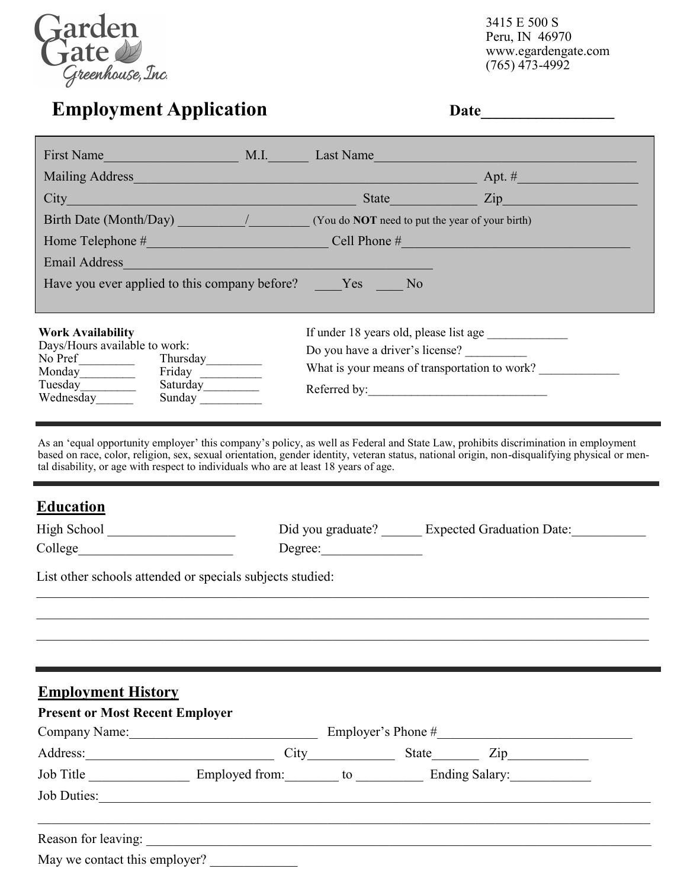

3415 E 500 S Peru, IN 46970 www.egardengate.com  $(765)$  473-4992

| Email Address                                                                                                                                                                                                                                                                                                                                                                                                          |                                                                |  |
|------------------------------------------------------------------------------------------------------------------------------------------------------------------------------------------------------------------------------------------------------------------------------------------------------------------------------------------------------------------------------------------------------------------------|----------------------------------------------------------------|--|
| Have you ever applied to this company before? Yes No                                                                                                                                                                                                                                                                                                                                                                   |                                                                |  |
| <b>Work Availability</b>                                                                                                                                                                                                                                                                                                                                                                                               |                                                                |  |
| Days/Hours available to work:<br>No Pref $\_\_$<br>Thursday                                                                                                                                                                                                                                                                                                                                                            | Do you have a driver's license?                                |  |
| Friday<br>Saturday                                                                                                                                                                                                                                                                                                                                                                                                     | What is your means of transportation to work?                  |  |
|                                                                                                                                                                                                                                                                                                                                                                                                                        |                                                                |  |
| Wednesday<br>Sunday<br>As an 'equal opportunity employer' this company's policy, as well as Federal and State Law, prohibits discrimination in employment<br>based on race, color, religion, sex, sexual orientation, gender identity, veteran status, national origin, non-disqualifying physical or men-<br>tal disability, or age with respect to individuals who are at least 18 years of age.<br><b>Education</b> |                                                                |  |
|                                                                                                                                                                                                                                                                                                                                                                                                                        | Did you graduate? ______ Expected Graduation Date: ___________ |  |
| List other schools attended or specials subjects studied:                                                                                                                                                                                                                                                                                                                                                              |                                                                |  |
|                                                                                                                                                                                                                                                                                                                                                                                                                        |                                                                |  |
|                                                                                                                                                                                                                                                                                                                                                                                                                        |                                                                |  |
|                                                                                                                                                                                                                                                                                                                                                                                                                        |                                                                |  |
|                                                                                                                                                                                                                                                                                                                                                                                                                        |                                                                |  |
| <b>Employment History</b><br><b>Present or Most Recent Employer</b><br>Company Name: Employer's Phone #                                                                                                                                                                                                                                                                                                                |                                                                |  |
| Address: City State Zip                                                                                                                                                                                                                                                                                                                                                                                                |                                                                |  |

May we contact this employer?